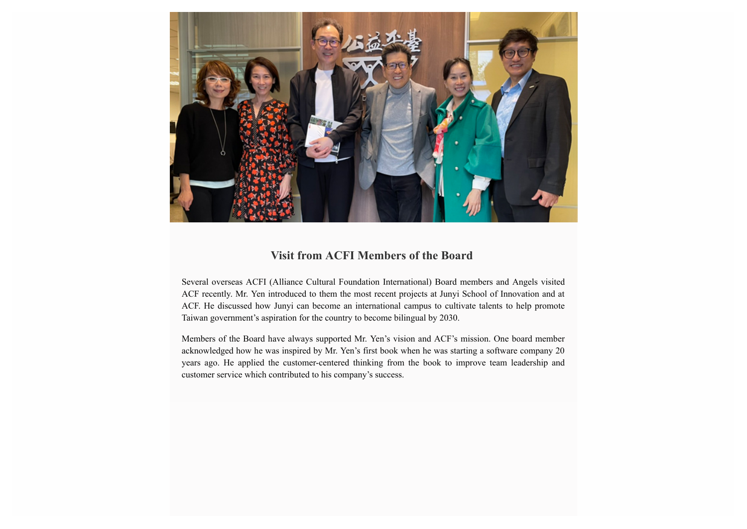

#### **Visit from ACFI Members of the Board**

Several overseas ACFI (Alliance Cultural Foundation International) Board members and Angels visited ACF recently. Mr. Yen introduced to them the most recent projects at Junyi School of Innovation and at ACF. He discussed how Junyi can become an international campus to cultivate talents to help promote Taiwan government's aspiration for the country to become bilingual by 2030.

Members of the Board have always supported Mr. Yen's vision and ACF's mission. One board member acknowledged how he was inspired by Mr. Yen's first book when he was starting a software company 20 years ago. He applied the customer-centered thinking from the book to improve team leadership and customer service which contributed to his company's success.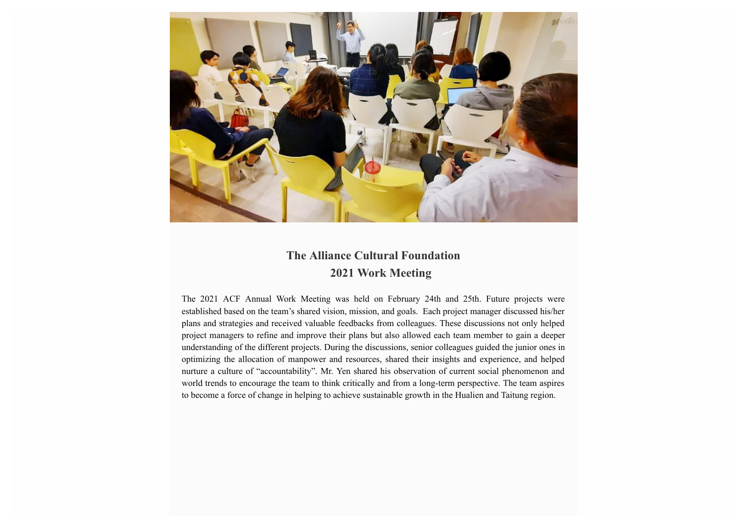

## **The Alliance Cultural Foundation 2021 Work Meeting**

The 2021 ACF Annual Work Meeting was held on February 24th and 25th. Future projects were established based on the team's shared vision, mission, and goals. Each project manager discussed his/her plans and strategies and received valuable feedbacks from colleagues. These discussions not only helped project managers to refine and improve their plans but also allowed each team member to gain a deeper understanding of the different projects. During the discussions, senior colleagues guided the junior ones in optimizing the allocation of manpower and resources, shared their insights and experience, and helped nurture a culture of "accountability". Mr. Yen shared his observation of current social phenomenon and world trends to encourage the team to think critically and from a long-term perspective. The team aspires to become a force of change in helping to achieve sustainable growth in the Hualien and Taitung region.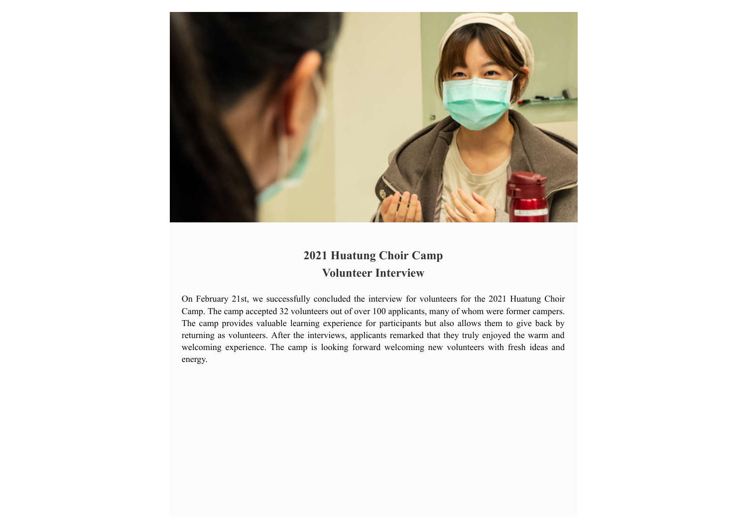

# **2021 Huatung Choir Camp Volunteer Interview**

On February 21st, we successfully concluded the interview for volunteers for the 2021 Huatung Choir Camp. The camp accepted 32 volunteers out of over 100 applicants, many of whom were former campers. The camp provides valuable learning experience for participants but also allows them to give back by returning as volunteers. After the interviews, applicants remarked that they truly enjoyed the warm and welcoming experience. The camp is looking forward welcoming new volunteers with fresh ideas and energy.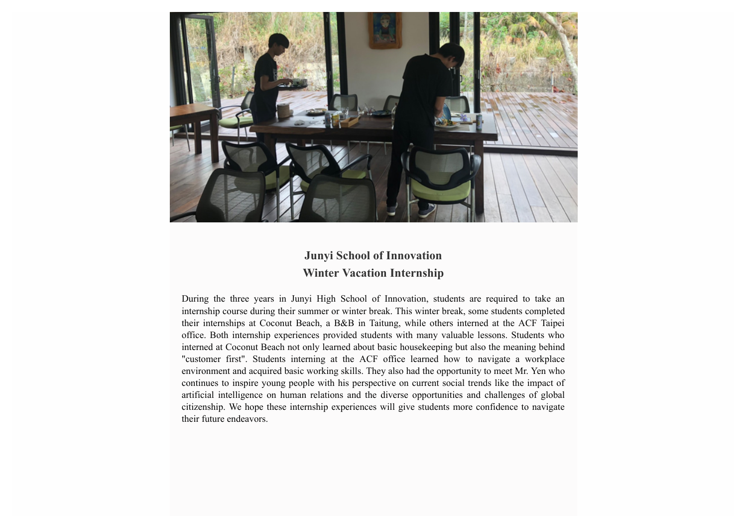

## **Junyi School of Innovation Winter Vacation Internship**

During the three years in Junyi High School of Innovation, students are required to take an internship course during their summer or winter break. This winter break, some students completed their internships at Coconut Beach, a B&B in Taitung, while others interned at the ACF Taipei office. Both internship experiences provided students with many valuable lessons. Students who interned at Coconut Beach not only learned about basic housekeeping but also the meaning behind "customer first". Students interning at the ACF office learned how to navigate a workplace environment and acquired basic working skills. They also had the opportunity to meet Mr. Yen who continues to inspire young people with his perspective on current social trends like the impact of artificial intelligence on human relations and the diverse opportunities and challenges of global citizenship. We hope these internship experiences will give students more confidence to navigate their future endeavors.